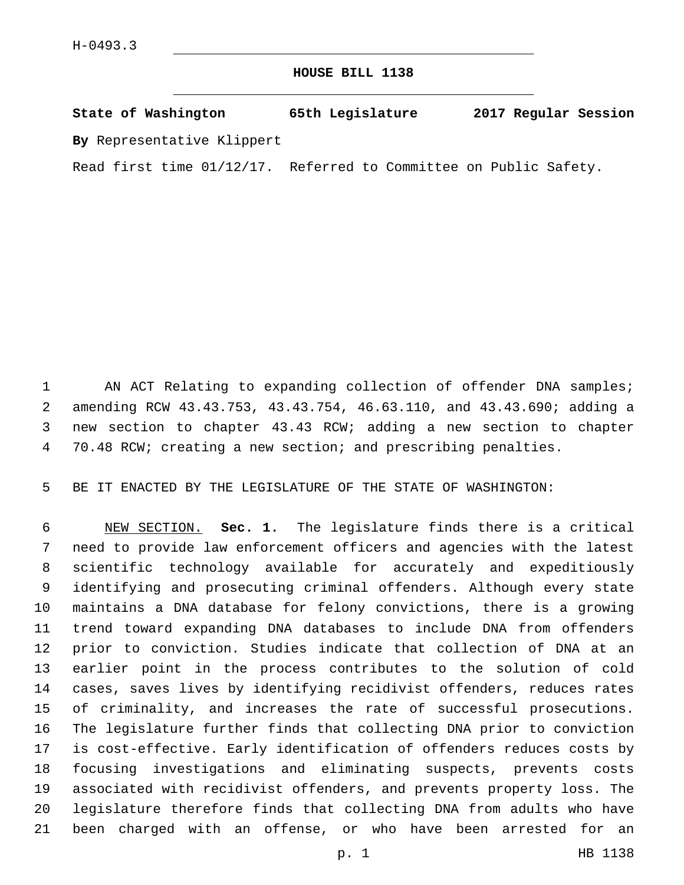**HOUSE BILL 1138**

**State of Washington 65th Legislature 2017 Regular Session By** Representative Klippert

Read first time 01/12/17. Referred to Committee on Public Safety.

1 AN ACT Relating to expanding collection of offender DNA samples; amending RCW 43.43.753, 43.43.754, 46.63.110, and 43.43.690; adding a new section to chapter 43.43 RCW; adding a new section to chapter 70.48 RCW; creating a new section; and prescribing penalties.

BE IT ENACTED BY THE LEGISLATURE OF THE STATE OF WASHINGTON:

 NEW SECTION. **Sec. 1.** The legislature finds there is a critical need to provide law enforcement officers and agencies with the latest scientific technology available for accurately and expeditiously identifying and prosecuting criminal offenders. Although every state maintains a DNA database for felony convictions, there is a growing trend toward expanding DNA databases to include DNA from offenders prior to conviction. Studies indicate that collection of DNA at an earlier point in the process contributes to the solution of cold cases, saves lives by identifying recidivist offenders, reduces rates of criminality, and increases the rate of successful prosecutions. The legislature further finds that collecting DNA prior to conviction is cost-effective. Early identification of offenders reduces costs by focusing investigations and eliminating suspects, prevents costs associated with recidivist offenders, and prevents property loss. The legislature therefore finds that collecting DNA from adults who have been charged with an offense, or who have been arrested for an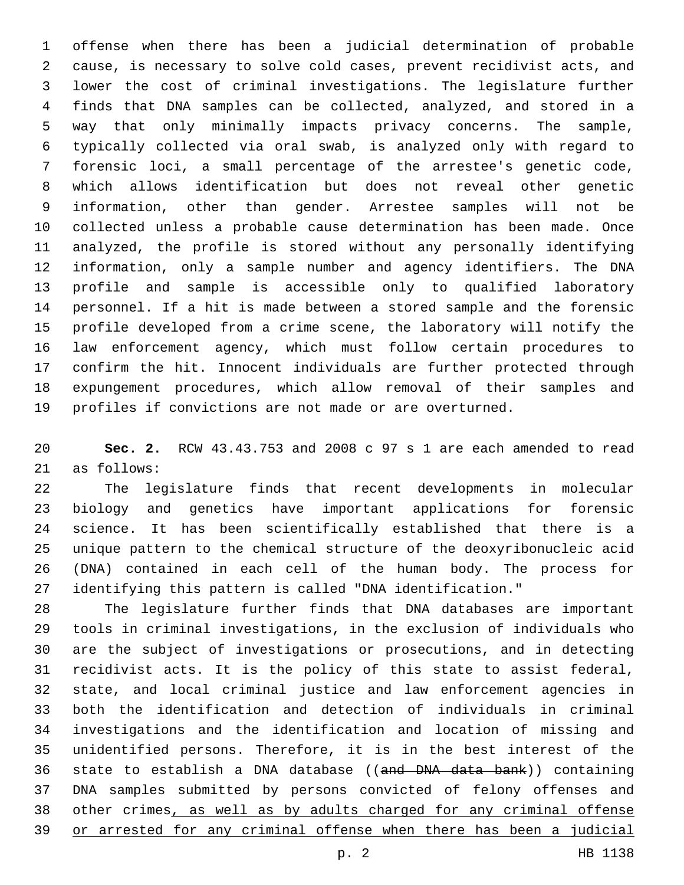offense when there has been a judicial determination of probable cause, is necessary to solve cold cases, prevent recidivist acts, and lower the cost of criminal investigations. The legislature further finds that DNA samples can be collected, analyzed, and stored in a way that only minimally impacts privacy concerns. The sample, typically collected via oral swab, is analyzed only with regard to forensic loci, a small percentage of the arrestee's genetic code, which allows identification but does not reveal other genetic information, other than gender. Arrestee samples will not be collected unless a probable cause determination has been made. Once analyzed, the profile is stored without any personally identifying information, only a sample number and agency identifiers. The DNA profile and sample is accessible only to qualified laboratory personnel. If a hit is made between a stored sample and the forensic profile developed from a crime scene, the laboratory will notify the law enforcement agency, which must follow certain procedures to confirm the hit. Innocent individuals are further protected through expungement procedures, which allow removal of their samples and profiles if convictions are not made or are overturned.

 **Sec. 2.** RCW 43.43.753 and 2008 c 97 s 1 are each amended to read 21 as follows:

 The legislature finds that recent developments in molecular biology and genetics have important applications for forensic science. It has been scientifically established that there is a unique pattern to the chemical structure of the deoxyribonucleic acid (DNA) contained in each cell of the human body. The process for identifying this pattern is called "DNA identification."

 The legislature further finds that DNA databases are important tools in criminal investigations, in the exclusion of individuals who are the subject of investigations or prosecutions, and in detecting recidivist acts. It is the policy of this state to assist federal, state, and local criminal justice and law enforcement agencies in both the identification and detection of individuals in criminal investigations and the identification and location of missing and unidentified persons. Therefore, it is in the best interest of the 36 state to establish a DNA database ((and DNA data bank)) containing DNA samples submitted by persons convicted of felony offenses and other crimes, as well as by adults charged for any criminal offense or arrested for any criminal offense when there has been a judicial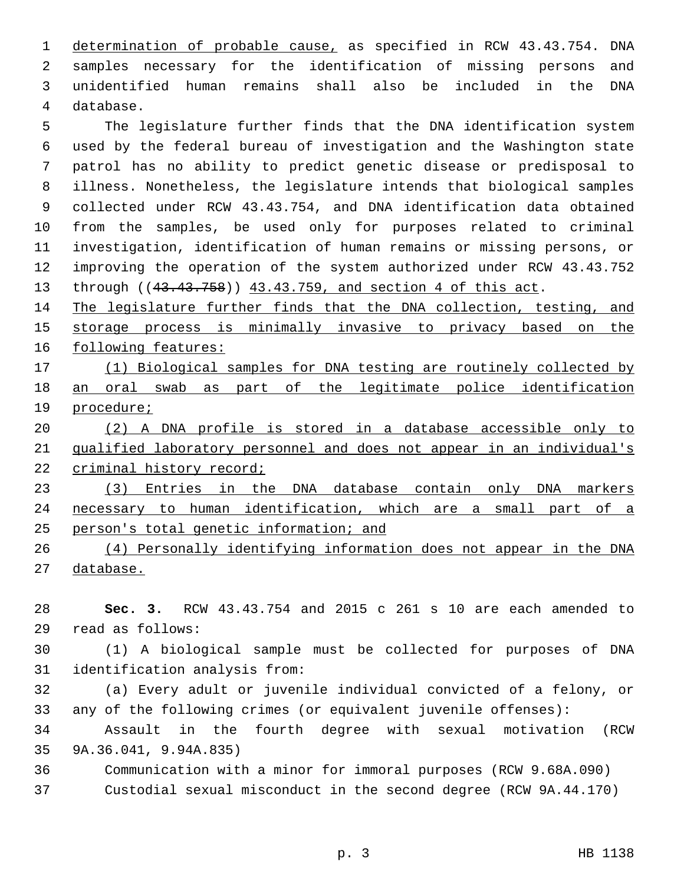determination of probable cause, as specified in RCW 43.43.754. DNA samples necessary for the identification of missing persons and unidentified human remains shall also be included in the DNA 4 database.

 The legislature further finds that the DNA identification system used by the federal bureau of investigation and the Washington state patrol has no ability to predict genetic disease or predisposal to illness. Nonetheless, the legislature intends that biological samples collected under RCW 43.43.754, and DNA identification data obtained from the samples, be used only for purposes related to criminal investigation, identification of human remains or missing persons, or improving the operation of the system authorized under RCW 43.43.752 13 through ((43.43.758)) 43.43.759, and section 4 of this act.

 The legislature further finds that the DNA collection, testing, and storage process is minimally invasive to privacy based on the following features:

 (1) Biological samples for DNA testing are routinely collected by an oral swab as part of the legitimate police identification procedure;

 (2) A DNA profile is stored in a database accessible only to qualified laboratory personnel and does not appear in an individual's 22 criminal history record;

 (3) Entries in the DNA database contain only DNA markers necessary to human identification, which are a small part of a person's total genetic information; and

 (4) Personally identifying information does not appear in the DNA database.

 **Sec. 3.** RCW 43.43.754 and 2015 c 261 s 10 are each amended to read as follows:29

 (1) A biological sample must be collected for purposes of DNA 31 identification analysis from:

 (a) Every adult or juvenile individual convicted of a felony, or any of the following crimes (or equivalent juvenile offenses):

 Assault in the fourth degree with sexual motivation (RCW 35 9A.36.041, 9.94A.835)

- Communication with a minor for immoral purposes (RCW 9.68A.090)
- Custodial sexual misconduct in the second degree (RCW 9A.44.170)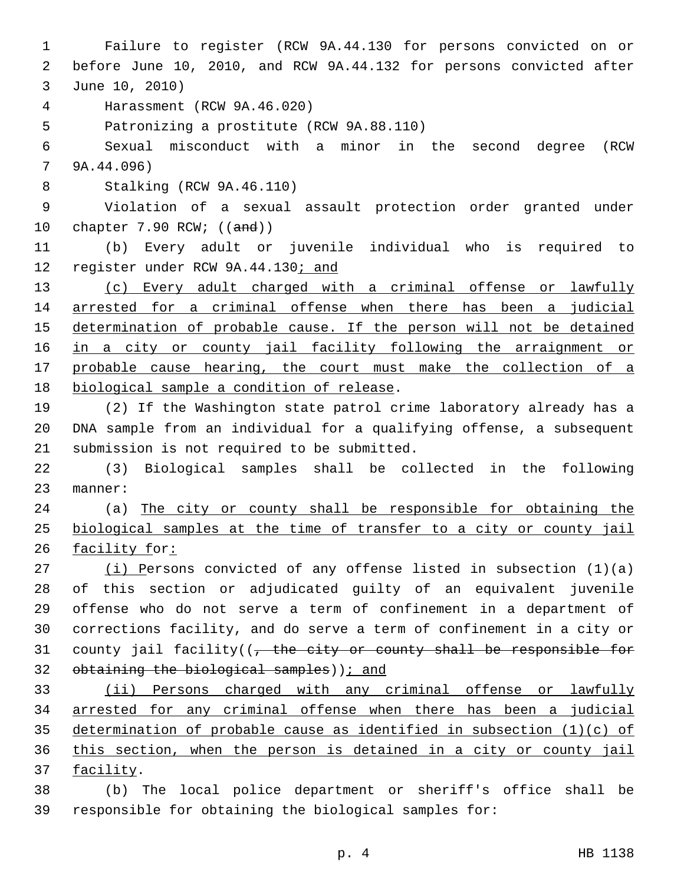Failure to register (RCW 9A.44.130 for persons convicted on or before June 10, 2010, and RCW 9A.44.132 for persons convicted after 3 June 10, 2010) 4 Harassment (RCW 9A.46.020) 5 Patronizing a prostitute (RCW 9A.88.110) Sexual misconduct with a minor in the second degree (RCW  $7, 9A.44.096$ 8 Stalking (RCW 9A.46.110) Violation of a sexual assault protection order granted under chapter 7.90 RCW; ((and)) (b) Every adult or juvenile individual who is required to 12 register under RCW 9A.44.130; and (c) Every adult charged with a criminal offense or lawfully arrested for a criminal offense when there has been a judicial determination of probable cause. If the person will not be detained in a city or county jail facility following the arraignment or probable cause hearing, the court must make the collection of a 18 biological sample a condition of release. (2) If the Washington state patrol crime laboratory already has a DNA sample from an individual for a qualifying offense, a subsequent 21 submission is not required to be submitted. (3) Biological samples shall be collected in the following 23 manner: (a) The city or county shall be responsible for obtaining the biological samples at the time of transfer to a city or county jail facility for: 27 (i) Persons convicted of any offense listed in subsection (1)(a) of this section or adjudicated guilty of an equivalent juvenile offense who do not serve a term of confinement in a department of corrections facility, and do serve a term of confinement in a city or 31 county jail facility( $\left( \frac{1}{f} \right)$  the city or county shall be responsible for obtaining the biological samples)  $(i)$  and (ii) Persons charged with any criminal offense or lawfully arrested for any criminal offense when there has been a judicial determination of probable cause as identified in subsection (1)(c) of

 this section, when the person is detained in a city or county jail 37 facility.

 (b) The local police department or sheriff's office shall be responsible for obtaining the biological samples for: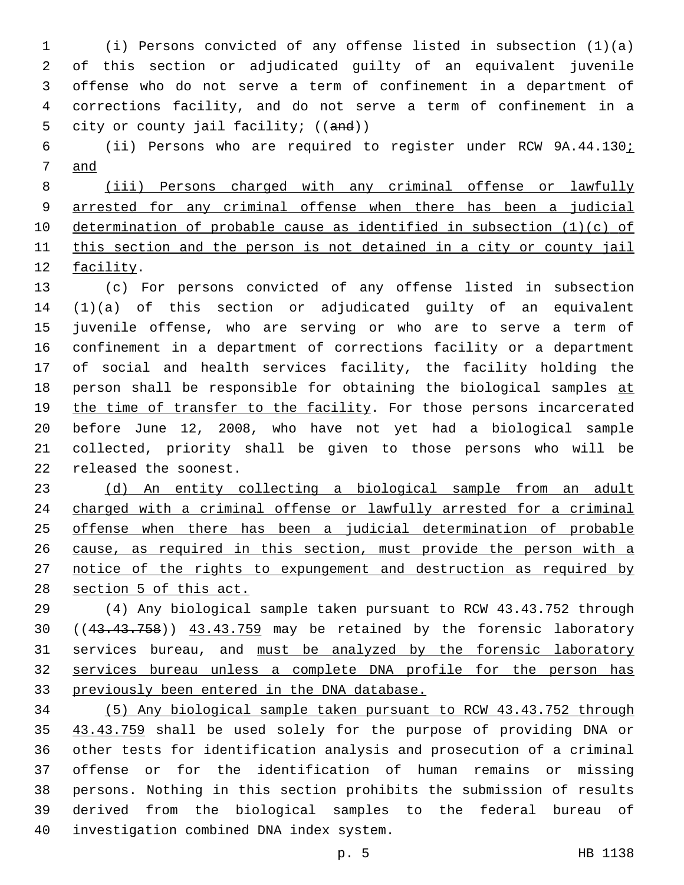(i) Persons convicted of any offense listed in subsection (1)(a) of this section or adjudicated guilty of an equivalent juvenile offense who do not serve a term of confinement in a department of corrections facility, and do not serve a term of confinement in a 5 city or county jail facility; ((and))

 (ii) Persons who are required to register under RCW 9A.44.130; and

 (iii) Persons charged with any criminal offense or lawfully arrested for any criminal offense when there has been a judicial determination of probable cause as identified in subsection (1)(c) of this section and the person is not detained in a city or county jail 12 facility.

 (c) For persons convicted of any offense listed in subsection (1)(a) of this section or adjudicated guilty of an equivalent juvenile offense, who are serving or who are to serve a term of confinement in a department of corrections facility or a department of social and health services facility, the facility holding the person shall be responsible for obtaining the biological samples at 19 the time of transfer to the facility. For those persons incarcerated before June 12, 2008, who have not yet had a biological sample collected, priority shall be given to those persons who will be 22 released the soonest.

 (d) An entity collecting a biological sample from an adult charged with a criminal offense or lawfully arrested for a criminal offense when there has been a judicial determination of probable cause, as required in this section, must provide the person with a 27 notice of the rights to expungement and destruction as required by section 5 of this act.

 (4) Any biological sample taken pursuant to RCW 43.43.752 through 30 ((43.43.758)) 43.43.759 may be retained by the forensic laboratory services bureau, and must be analyzed by the forensic laboratory services bureau unless a complete DNA profile for the person has previously been entered in the DNA database.

 (5) Any biological sample taken pursuant to RCW 43.43.752 through 43.43.759 shall be used solely for the purpose of providing DNA or other tests for identification analysis and prosecution of a criminal offense or for the identification of human remains or missing persons. Nothing in this section prohibits the submission of results derived from the biological samples to the federal bureau of 40 investigation combined DNA index system.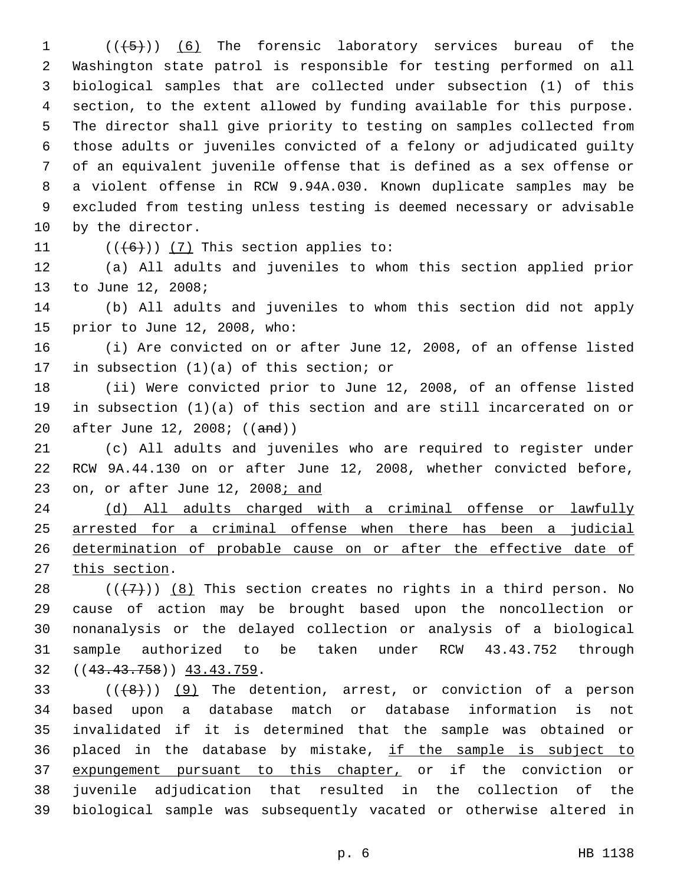$((\{5\}))$  (6) The forensic laboratory services bureau of the Washington state patrol is responsible for testing performed on all biological samples that are collected under subsection (1) of this section, to the extent allowed by funding available for this purpose. The director shall give priority to testing on samples collected from those adults or juveniles convicted of a felony or adjudicated guilty of an equivalent juvenile offense that is defined as a sex offense or a violent offense in RCW 9.94A.030. Known duplicate samples may be excluded from testing unless testing is deemed necessary or advisable 10 by the director.

11  $((6+))$  (7) This section applies to:

 (a) All adults and juveniles to whom this section applied prior 13 to June 12, 2008;

 (b) All adults and juveniles to whom this section did not apply 15 prior to June 12, 2008, who:

 (i) Are convicted on or after June 12, 2008, of an offense listed 17 in subsection  $(1)(a)$  of this section; or

 (ii) Were convicted prior to June 12, 2008, of an offense listed in subsection (1)(a) of this section and are still incarcerated on or after June 12, 2008; ((and))

 (c) All adults and juveniles who are required to register under RCW 9A.44.130 on or after June 12, 2008, whether convicted before, 23 on, or after June 12, 2008; and

 (d) All adults charged with a criminal offense or lawfully arrested for a criminal offense when there has been a judicial determination of probable cause on or after the effective date of 27 this section.

 $((+7+))$  (8) This section creates no rights in a third person. No cause of action may be brought based upon the noncollection or nonanalysis or the delayed collection or analysis of a biological sample authorized to be taken under RCW 43.43.752 through 32 ((43.43.758)) 43.43.759.

 ( $(48)$ )) (9) The detention, arrest, or conviction of a person based upon a database match or database information is not invalidated if it is determined that the sample was obtained or 36 placed in the database by mistake, if the sample is subject to expungement pursuant to this chapter, or if the conviction or juvenile adjudication that resulted in the collection of the biological sample was subsequently vacated or otherwise altered in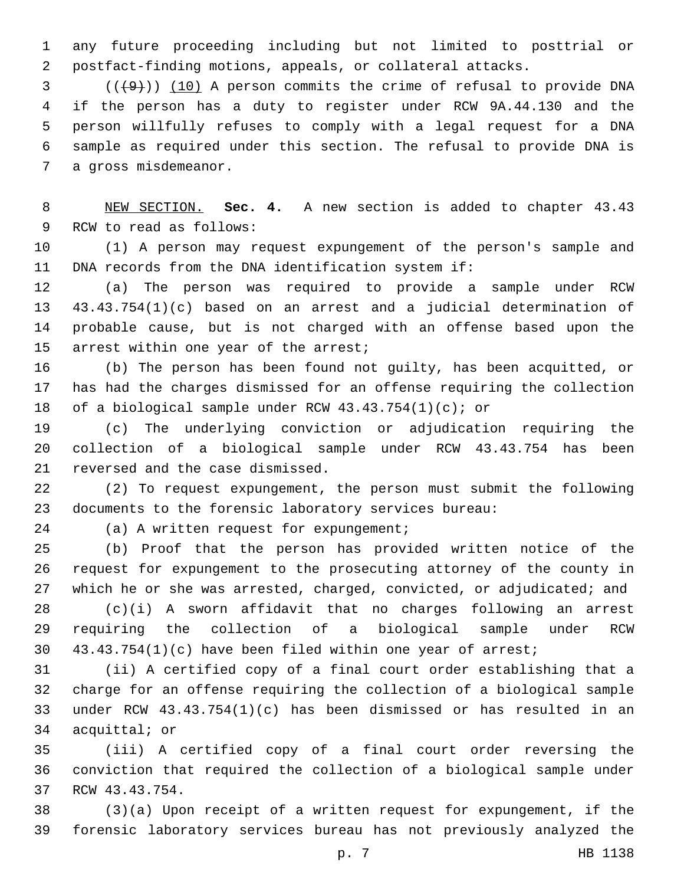any future proceeding including but not limited to posttrial or postfact-finding motions, appeals, or collateral attacks.

 $(1)$  (( $(9)$ )) (10) A person commits the crime of refusal to provide DNA if the person has a duty to register under RCW 9A.44.130 and the person willfully refuses to comply with a legal request for a DNA sample as required under this section. The refusal to provide DNA is 7 a gross misdemeanor.

 NEW SECTION. **Sec. 4.** A new section is added to chapter 43.43 9 RCW to read as follows:

 (1) A person may request expungement of the person's sample and DNA records from the DNA identification system if:

 (a) The person was required to provide a sample under RCW 43.43.754(1)(c) based on an arrest and a judicial determination of probable cause, but is not charged with an offense based upon the 15 arrest within one year of the arrest;

 (b) The person has been found not guilty, has been acquitted, or has had the charges dismissed for an offense requiring the collection of a biological sample under RCW 43.43.754(1)(c); or

 (c) The underlying conviction or adjudication requiring the collection of a biological sample under RCW 43.43.754 has been 21 reversed and the case dismissed.

 (2) To request expungement, the person must submit the following documents to the forensic laboratory services bureau:

24 (a) A written request for expungement;

 (b) Proof that the person has provided written notice of the request for expungement to the prosecuting attorney of the county in 27 which he or she was arrested, charged, convicted, or adjudicated; and

 (c)(i) A sworn affidavit that no charges following an arrest requiring the collection of a biological sample under RCW 43.43.754(1)(c) have been filed within one year of arrest;

 (ii) A certified copy of a final court order establishing that a charge for an offense requiring the collection of a biological sample under RCW 43.43.754(1)(c) has been dismissed or has resulted in an 34 acquittal; or

 (iii) A certified copy of a final court order reversing the conviction that required the collection of a biological sample under 37 RCW 43.43.754.

 (3)(a) Upon receipt of a written request for expungement, if the forensic laboratory services bureau has not previously analyzed the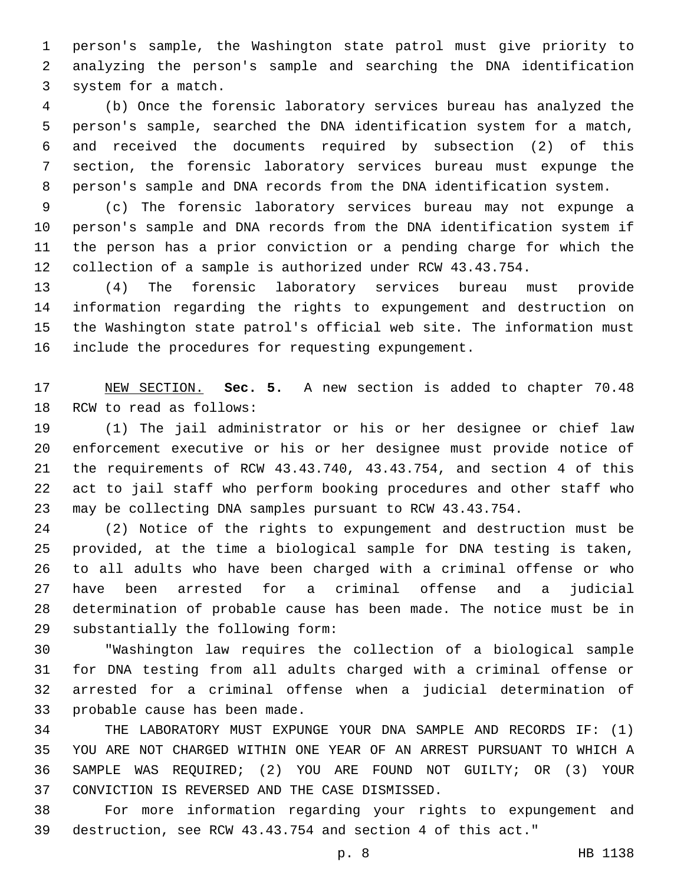person's sample, the Washington state patrol must give priority to analyzing the person's sample and searching the DNA identification 3 system for a match.

 (b) Once the forensic laboratory services bureau has analyzed the person's sample, searched the DNA identification system for a match, and received the documents required by subsection (2) of this section, the forensic laboratory services bureau must expunge the person's sample and DNA records from the DNA identification system.

 (c) The forensic laboratory services bureau may not expunge a person's sample and DNA records from the DNA identification system if the person has a prior conviction or a pending charge for which the collection of a sample is authorized under RCW 43.43.754.

 (4) The forensic laboratory services bureau must provide information regarding the rights to expungement and destruction on the Washington state patrol's official web site. The information must include the procedures for requesting expungement.

 NEW SECTION. **Sec. 5.** A new section is added to chapter 70.48 18 RCW to read as follows:

 (1) The jail administrator or his or her designee or chief law enforcement executive or his or her designee must provide notice of the requirements of RCW 43.43.740, 43.43.754, and section 4 of this act to jail staff who perform booking procedures and other staff who may be collecting DNA samples pursuant to RCW 43.43.754.

 (2) Notice of the rights to expungement and destruction must be provided, at the time a biological sample for DNA testing is taken, to all adults who have been charged with a criminal offense or who have been arrested for a criminal offense and a judicial determination of probable cause has been made. The notice must be in 29 substantially the following form:

 "Washington law requires the collection of a biological sample for DNA testing from all adults charged with a criminal offense or arrested for a criminal offense when a judicial determination of 33 probable cause has been made.

 THE LABORATORY MUST EXPUNGE YOUR DNA SAMPLE AND RECORDS IF: (1) YOU ARE NOT CHARGED WITHIN ONE YEAR OF AN ARREST PURSUANT TO WHICH A SAMPLE WAS REQUIRED; (2) YOU ARE FOUND NOT GUILTY; OR (3) YOUR 37 CONVICTION IS REVERSED AND THE CASE DISMISSED.

 For more information regarding your rights to expungement and destruction, see RCW 43.43.754 and section 4 of this act."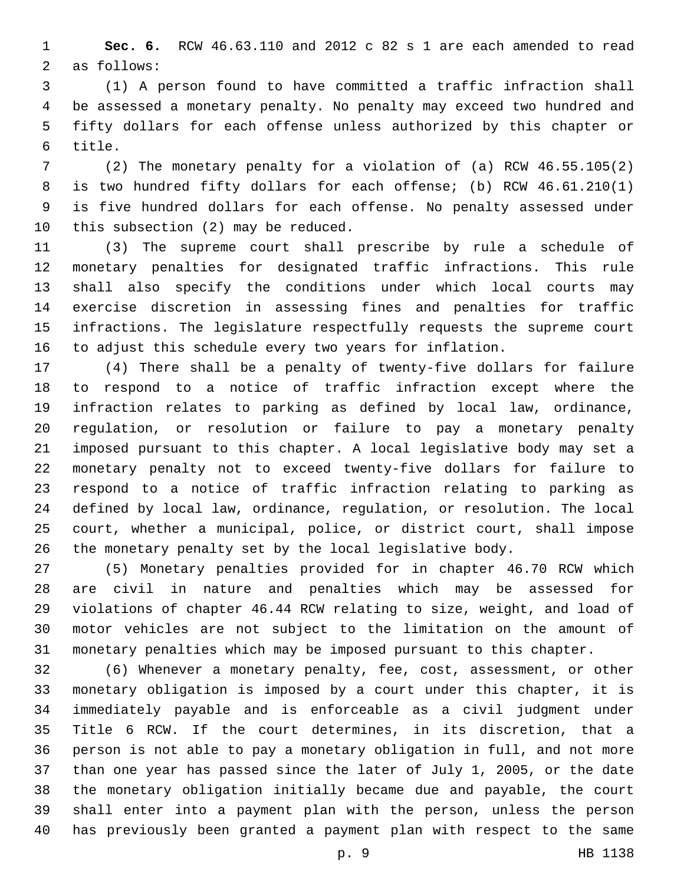**Sec. 6.** RCW 46.63.110 and 2012 c 82 s 1 are each amended to read 2 as follows:

 (1) A person found to have committed a traffic infraction shall be assessed a monetary penalty. No penalty may exceed two hundred and fifty dollars for each offense unless authorized by this chapter or 6 title.

 (2) The monetary penalty for a violation of (a) RCW 46.55.105(2) is two hundred fifty dollars for each offense; (b) RCW 46.61.210(1) is five hundred dollars for each offense. No penalty assessed under 10 this subsection  $(2)$  may be reduced.

 (3) The supreme court shall prescribe by rule a schedule of monetary penalties for designated traffic infractions. This rule shall also specify the conditions under which local courts may exercise discretion in assessing fines and penalties for traffic infractions. The legislature respectfully requests the supreme court to adjust this schedule every two years for inflation.

 (4) There shall be a penalty of twenty-five dollars for failure to respond to a notice of traffic infraction except where the infraction relates to parking as defined by local law, ordinance, regulation, or resolution or failure to pay a monetary penalty imposed pursuant to this chapter. A local legislative body may set a monetary penalty not to exceed twenty-five dollars for failure to respond to a notice of traffic infraction relating to parking as defined by local law, ordinance, regulation, or resolution. The local court, whether a municipal, police, or district court, shall impose the monetary penalty set by the local legislative body.

 (5) Monetary penalties provided for in chapter 46.70 RCW which are civil in nature and penalties which may be assessed for violations of chapter 46.44 RCW relating to size, weight, and load of motor vehicles are not subject to the limitation on the amount of monetary penalties which may be imposed pursuant to this chapter.

 (6) Whenever a monetary penalty, fee, cost, assessment, or other monetary obligation is imposed by a court under this chapter, it is immediately payable and is enforceable as a civil judgment under Title 6 RCW. If the court determines, in its discretion, that a person is not able to pay a monetary obligation in full, and not more than one year has passed since the later of July 1, 2005, or the date the monetary obligation initially became due and payable, the court shall enter into a payment plan with the person, unless the person has previously been granted a payment plan with respect to the same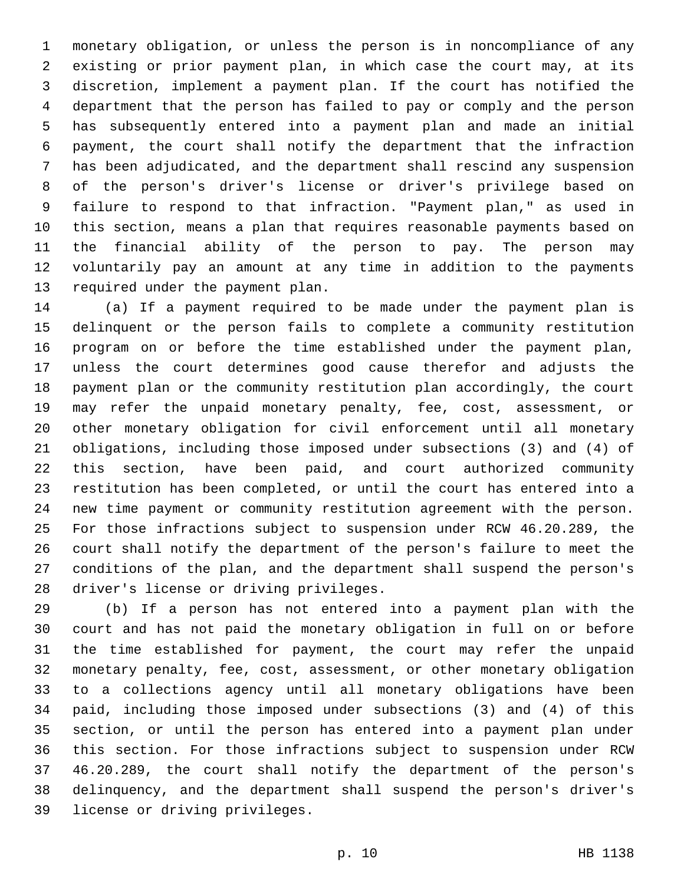monetary obligation, or unless the person is in noncompliance of any existing or prior payment plan, in which case the court may, at its discretion, implement a payment plan. If the court has notified the department that the person has failed to pay or comply and the person has subsequently entered into a payment plan and made an initial payment, the court shall notify the department that the infraction has been adjudicated, and the department shall rescind any suspension of the person's driver's license or driver's privilege based on failure to respond to that infraction. "Payment plan," as used in this section, means a plan that requires reasonable payments based on the financial ability of the person to pay. The person may voluntarily pay an amount at any time in addition to the payments 13 required under the payment plan.

 (a) If a payment required to be made under the payment plan is delinquent or the person fails to complete a community restitution program on or before the time established under the payment plan, unless the court determines good cause therefor and adjusts the payment plan or the community restitution plan accordingly, the court may refer the unpaid monetary penalty, fee, cost, assessment, or other monetary obligation for civil enforcement until all monetary obligations, including those imposed under subsections (3) and (4) of this section, have been paid, and court authorized community restitution has been completed, or until the court has entered into a new time payment or community restitution agreement with the person. For those infractions subject to suspension under RCW 46.20.289, the court shall notify the department of the person's failure to meet the conditions of the plan, and the department shall suspend the person's 28 driver's license or driving privileges.

 (b) If a person has not entered into a payment plan with the court and has not paid the monetary obligation in full on or before the time established for payment, the court may refer the unpaid monetary penalty, fee, cost, assessment, or other monetary obligation to a collections agency until all monetary obligations have been paid, including those imposed under subsections (3) and (4) of this section, or until the person has entered into a payment plan under this section. For those infractions subject to suspension under RCW 46.20.289, the court shall notify the department of the person's delinquency, and the department shall suspend the person's driver's 39 license or driving privileges.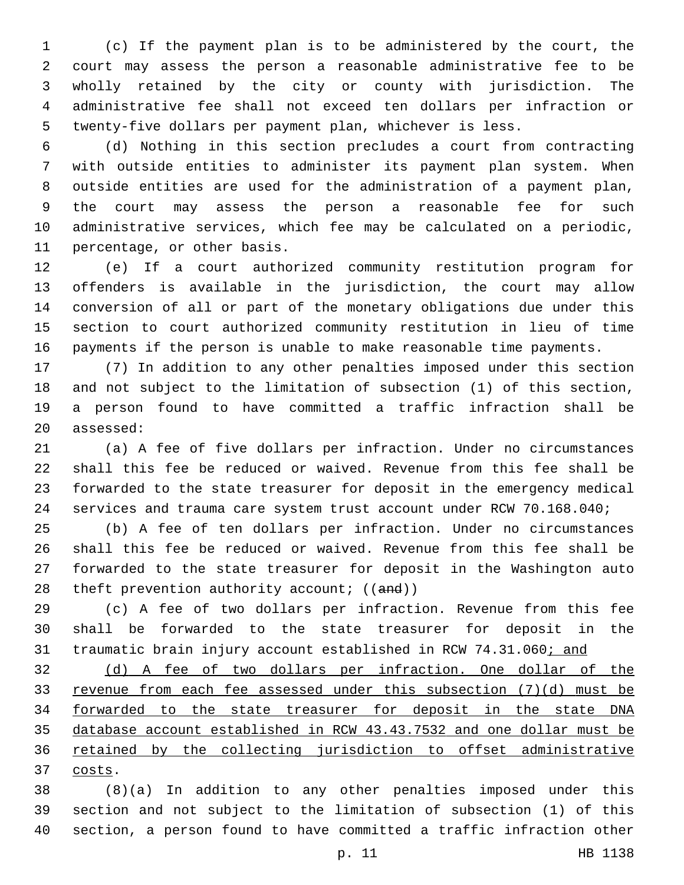(c) If the payment plan is to be administered by the court, the court may assess the person a reasonable administrative fee to be wholly retained by the city or county with jurisdiction. The administrative fee shall not exceed ten dollars per infraction or twenty-five dollars per payment plan, whichever is less.

 (d) Nothing in this section precludes a court from contracting with outside entities to administer its payment plan system. When outside entities are used for the administration of a payment plan, the court may assess the person a reasonable fee for such administrative services, which fee may be calculated on a periodic, 11 percentage, or other basis.

 (e) If a court authorized community restitution program for offenders is available in the jurisdiction, the court may allow conversion of all or part of the monetary obligations due under this section to court authorized community restitution in lieu of time payments if the person is unable to make reasonable time payments.

 (7) In addition to any other penalties imposed under this section and not subject to the limitation of subsection (1) of this section, a person found to have committed a traffic infraction shall be 20 assessed:

 (a) A fee of five dollars per infraction. Under no circumstances shall this fee be reduced or waived. Revenue from this fee shall be forwarded to the state treasurer for deposit in the emergency medical services and trauma care system trust account under RCW 70.168.040;

 (b) A fee of ten dollars per infraction. Under no circumstances shall this fee be reduced or waived. Revenue from this fee shall be forwarded to the state treasurer for deposit in the Washington auto 28 theft prevention authority account;  $((and))$ 

 (c) A fee of two dollars per infraction. Revenue from this fee shall be forwarded to the state treasurer for deposit in the 31 traumatic brain injury account established in RCW 74.31.060; and

 (d) A fee of two dollars per infraction. One dollar of the revenue from each fee assessed under this subsection (7)(d) must be forwarded to the state treasurer for deposit in the state DNA database account established in RCW 43.43.7532 and one dollar must be retained by the collecting jurisdiction to offset administrative 37 costs.

 (8)(a) In addition to any other penalties imposed under this section and not subject to the limitation of subsection (1) of this section, a person found to have committed a traffic infraction other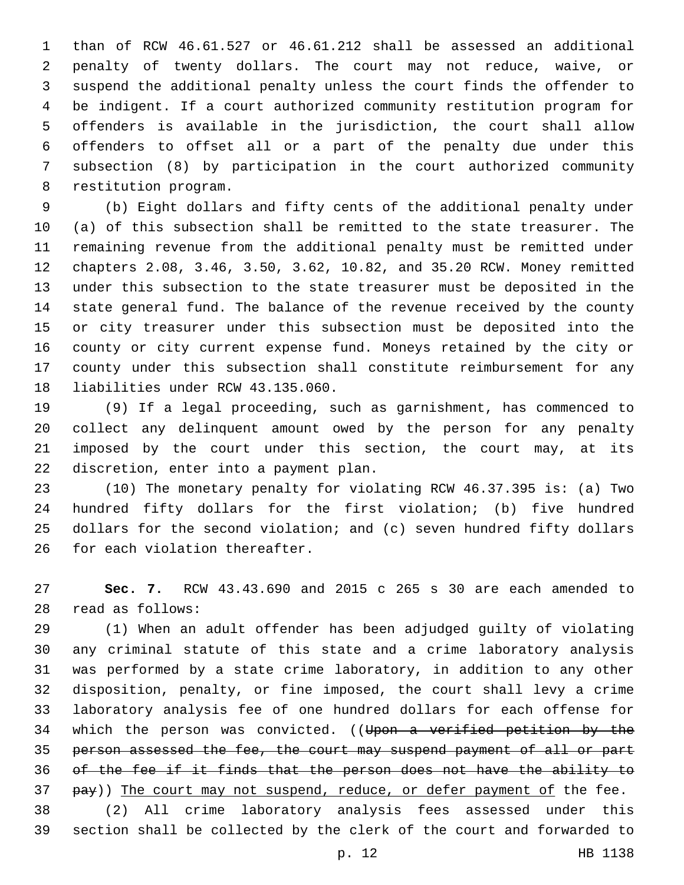than of RCW 46.61.527 or 46.61.212 shall be assessed an additional penalty of twenty dollars. The court may not reduce, waive, or suspend the additional penalty unless the court finds the offender to be indigent. If a court authorized community restitution program for offenders is available in the jurisdiction, the court shall allow offenders to offset all or a part of the penalty due under this subsection (8) by participation in the court authorized community 8 restitution program.

 (b) Eight dollars and fifty cents of the additional penalty under (a) of this subsection shall be remitted to the state treasurer. The remaining revenue from the additional penalty must be remitted under chapters 2.08, 3.46, 3.50, 3.62, 10.82, and 35.20 RCW. Money remitted under this subsection to the state treasurer must be deposited in the state general fund. The balance of the revenue received by the county or city treasurer under this subsection must be deposited into the county or city current expense fund. Moneys retained by the city or county under this subsection shall constitute reimbursement for any 18 liabilities under RCW 43.135.060.

 (9) If a legal proceeding, such as garnishment, has commenced to collect any delinquent amount owed by the person for any penalty imposed by the court under this section, the court may, at its 22 discretion, enter into a payment plan.

 (10) The monetary penalty for violating RCW 46.37.395 is: (a) Two hundred fifty dollars for the first violation; (b) five hundred dollars for the second violation; and (c) seven hundred fifty dollars 26 for each violation thereafter.

 **Sec. 7.** RCW 43.43.690 and 2015 c 265 s 30 are each amended to read as follows:28

 (1) When an adult offender has been adjudged guilty of violating any criminal statute of this state and a crime laboratory analysis was performed by a state crime laboratory, in addition to any other disposition, penalty, or fine imposed, the court shall levy a crime laboratory analysis fee of one hundred dollars for each offense for 34 which the person was convicted. ((Upon a verified petition by the person assessed the fee, the court may suspend payment of all or part of the fee if it finds that the person does not have the ability to 37 pay)) The court may not suspend, reduce, or defer payment of the fee. (2) All crime laboratory analysis fees assessed under this

section shall be collected by the clerk of the court and forwarded to